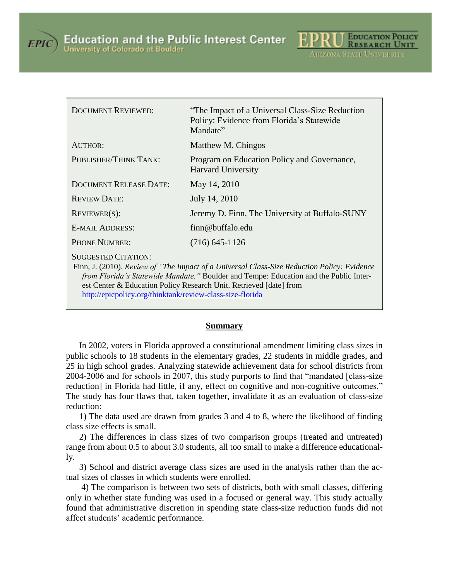



| <b>DOCUMENT REVIEWED:</b>                                                                                                                                                                                                                                                                | "The Impact of a Universal Class-Size Reduction"<br>Policy: Evidence from Florida's Statewide<br>Mandate" |
|------------------------------------------------------------------------------------------------------------------------------------------------------------------------------------------------------------------------------------------------------------------------------------------|-----------------------------------------------------------------------------------------------------------|
| <b>AUTHOR:</b>                                                                                                                                                                                                                                                                           | Matthew M. Chingos                                                                                        |
| PUBLISHER/THINK TANK:                                                                                                                                                                                                                                                                    | Program on Education Policy and Governance,<br><b>Harvard University</b>                                  |
| <b>DOCUMENT RELEASE DATE:</b>                                                                                                                                                                                                                                                            | May 14, 2010                                                                                              |
| <b>REVIEW DATE:</b>                                                                                                                                                                                                                                                                      | July 14, 2010                                                                                             |
| $REVIEWER(S)$ :                                                                                                                                                                                                                                                                          | Jeremy D. Finn, The University at Buffalo-SUNY                                                            |
| <b>E-MAIL ADDRESS:</b>                                                                                                                                                                                                                                                                   | finn@buffalo.edu                                                                                          |
| <b>PHONE NUMBER:</b>                                                                                                                                                                                                                                                                     | $(716)$ 645-1126                                                                                          |
| <b>SUGGESTED CITATION:</b><br>Finn, J. (2010). Review of "The Impact of a Universal Class-Size Reduction Policy: Evidence<br>from Florida's Statewide Mandate." Boulder and Tempe: Education and the Public Inter-<br>est Center & Education Policy Research Unit. Retrieved [date] from |                                                                                                           |

<http://epicpolicy.org/thinktank/review-class-size-florida>

#### **Summary**

In 2002, voters in Florida approved a constitutional amendment limiting class sizes in public schools to 18 students in the elementary grades, 22 students in middle grades, and 25 in high school grades. Analyzing statewide achievement data for school districts from 2004-2006 and for schools in 2007, this study purports to find that "mandated [class-size reduction] in Florida had little, if any, effect on cognitive and non-cognitive outcomes." The study has four flaws that, taken together, invalidate it as an evaluation of class-size reduction:

1) The data used are drawn from grades 3 and 4 to 8, where the likelihood of finding class size effects is small.

2) The differences in class sizes of two comparison groups (treated and untreated) range from about 0.5 to about 3.0 students, all too small to make a difference educationally.

3) School and district average class sizes are used in the analysis rather than the actual sizes of classes in which students were enrolled.

4) The comparison is between two sets of districts, both with small classes, differing only in whether state funding was used in a focused or general way. This study actually found that administrative discretion in spending state class-size reduction funds did not affect students' academic performance.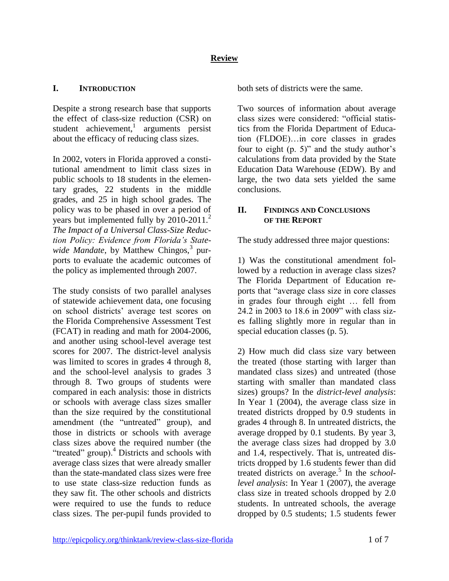# **Review**

#### **I. INTRODUCTION**

Despite a strong research base that supports the effect of class-size reduction (CSR) on student achievement,<sup>1</sup> arguments persist about the efficacy of reducing class sizes.

In 2002, voters in Florida approved a constitutional amendment to limit class sizes in public schools to 18 students in the elementary grades, 22 students in the middle grades, and 25 in high school grades. The policy was to be phased in over a period of years but implemented fully by  $2010-2011$ . *The Impact of a Universal Class-Size Reduction Policy: Evidence from Florida's State*wide Mandate, by Matthew Chingos,<sup>3</sup> purports to evaluate the academic outcomes of the policy as implemented through 2007.

The study consists of two parallel analyses of statewide achievement data, one focusing on school districts' average test scores on the Florida Comprehensive Assessment Test (FCAT) in reading and math for 2004-2006, and another using school-level average test scores for 2007. The district-level analysis was limited to scores in grades 4 through 8, and the school-level analysis to grades 3 through 8. Two groups of students were compared in each analysis: those in districts or schools with average class sizes smaller than the size required by the constitutional amendment (the "untreated" group), and those in districts or schools with average class sizes above the required number (the "treated" group).<sup>4</sup> Districts and schools with average class sizes that were already smaller than the state-mandated class sizes were free to use state class-size reduction funds as they saw fit. The other schools and districts were required to use the funds to reduce class sizes. The per-pupil funds provided to both sets of districts were the same.

Two sources of information about average class sizes were considered: "official statistics from the Florida Department of Education (FLDOE)…in core classes in grades four to eight (p. 5)" and the study author's calculations from data provided by the State Education Data Warehouse (EDW). By and large, the two data sets yielded the same conclusions.

## **II. FINDINGS AND CONCLUSIONS OF THE REPORT**

The study addressed three major questions:

1) Was the constitutional amendment followed by a reduction in average class sizes? The Florida Department of Education reports that "average class size in core classes in grades four through eight … fell from 24.2 in 2003 to 18.6 in 2009" with class sizes falling slightly more in regular than in special education classes (p. 5).

2) How much did class size vary between the treated (those starting with larger than mandated class sizes) and untreated (those starting with smaller than mandated class sizes) groups? In the *district-level analysis*: In Year 1 (2004), the average class size in treated districts dropped by 0.9 students in grades 4 through 8. In untreated districts, the average dropped by 0.1 students. By year 3, the average class sizes had dropped by 3.0 and 1.4, respectively. That is, untreated districts dropped by 1.6 students fewer than did treated districts on average.<sup>5</sup> In the *schoollevel analysis*: In Year 1 (2007), the average class size in treated schools dropped by 2.0 students. In untreated schools, the average dropped by 0.5 students; 1.5 students fewer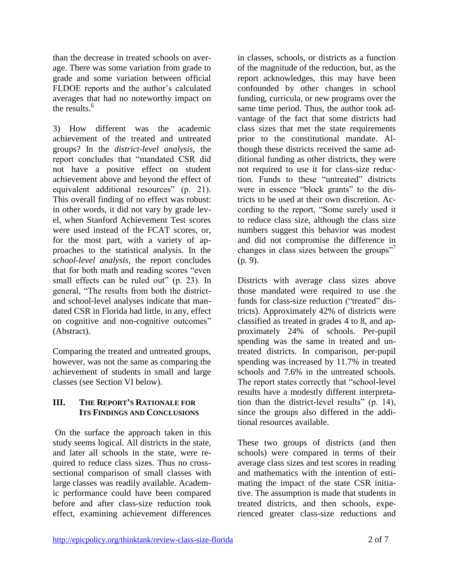than the decrease in treated schools on average. There was some variation from grade to grade and some variation between official FLDOE reports and the author's calculated averages that had no noteworthy impact on the results.<sup>6</sup>

3) How different was the academic achievement of the treated and untreated groups? In the *district-level analysis*, the report concludes that "mandated CSR did not have a positive effect on student achievement above and beyond the effect of equivalent additional resources" (p. 21). This overall finding of no effect was robust: in other words, it did not vary by grade level, when Stanford Achievement Test scores were used instead of the FCAT scores, or, for the most part, with a variety of approaches to the statistical analysis. In the *school-level analysis*, the report concludes that for both math and reading scores "even small effects can be ruled out" (p. 23). In general, "The results from both the districtand school-level analyses indicate that mandated CSR in Florida had little, in any, effect on cognitive and non-cognitive outcomes" (Abstract).

Comparing the treated and untreated groups, however, was not the same as comparing the achievement of students in small and large classes (see Section VI below).

## **III. THE REPORT'S RATIONALE FOR ITS FINDINGS AND CONCLUSIONS**

On the surface the approach taken in this study seems logical. All districts in the state, and later all schools in the state, were required to reduce class sizes. Thus no crosssectional comparison of small classes with large classes was readily available. Academic performance could have been compared before and after class-size reduction took effect, examining achievement differences in classes, schools, or districts as a function of the magnitude of the reduction, but, as the report acknowledges, this may have been confounded by other changes in school funding, curricula, or new programs over the same time period. Thus, the author took advantage of the fact that some districts had class sizes that met the state requirements prior to the constitutional mandate. Although these districts received the same additional funding as other districts, they were not required to use it for class-size reduction. Funds to these "untreated" districts were in essence "block grants" to the districts to be used at their own discretion. According to the report, "Some surely used it to reduce class size, although the class size numbers suggest this behavior was modest and did not compromise the difference in changes in class sizes between the groups"<sup>7</sup> (p. 9).

Districts with average class sizes above those mandated were required to use the funds for class-size reduction ("treated" districts). Approximately 42% of districts were classified as treated in grades 4 to 8, and approximately 24% of schools. Per-pupil spending was the same in treated and untreated districts. In comparison, per-pupil spending was increased by 11.7% in treated schools and 7.6% in the untreated schools. The report states correctly that "school-level results have a modestly different interpretation than the district-level results" (p. 14), since the groups also differed in the additional resources available.

These two groups of districts (and then schools) were compared in terms of their average class sizes and test scores in reading and mathematics with the intention of estimating the impact of the state CSR initiative. The assumption is made that students in treated districts, and then schools, experienced greater class-size reductions and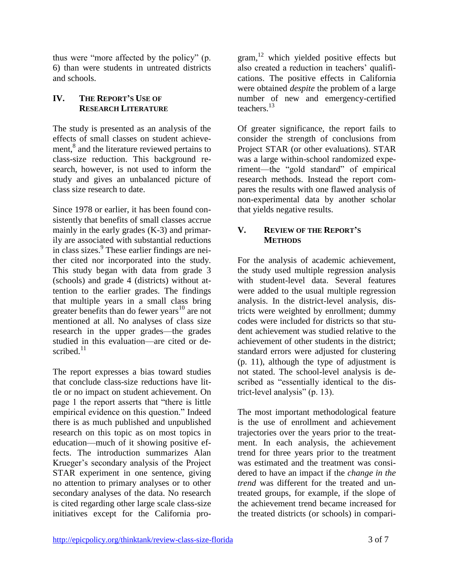thus were "more affected by the policy" (p. 6) than were students in untreated districts and schools.

## **IV. THE REPORT'S USE OF RESEARCH LITERATURE**

The study is presented as an analysis of the effects of small classes on student achievement,<sup>8</sup> and the literature reviewed pertains to class-size reduction. This background research, however, is not used to inform the study and gives an unbalanced picture of class size research to date.

Since 1978 or earlier, it has been found consistently that benefits of small classes accrue mainly in the early grades (K-3) and primarily are associated with substantial reductions in class sizes.<sup>9</sup> These earlier findings are neither cited nor incorporated into the study. This study began with data from grade 3 (schools) and grade 4 (districts) without attention to the earlier grades. The findings that multiple years in a small class bring greater benefits than do fewer years<sup>10</sup> are not mentioned at all. No analyses of class size research in the upper grades—the grades studied in this evaluation—are cited or described $11$ 

The report expresses a bias toward studies that conclude class-size reductions have little or no impact on student achievement. On page 1 the report asserts that "there is little empirical evidence on this question." Indeed there is as much published and unpublished research on this topic as on most topics in education—much of it showing positive effects. The introduction summarizes Alan Krueger's secondary analysis of the Project STAR experiment in one sentence, giving no attention to primary analyses or to other secondary analyses of the data. No research is cited regarding other large scale class-size initiatives except for the California pro-

gram,<sup>12</sup> which yielded positive effects but also created a reduction in teachers' qualifications. The positive effects in California were obtained *despite* the problem of a large number of new and emergency-certified teachers.<sup>13</sup>

Of greater significance, the report fails to consider the strength of conclusions from Project STAR (or other evaluations). STAR was a large within-school randomized experiment—the "gold standard" of empirical research methods. Instead the report compares the results with one flawed analysis of non-experimental data by another scholar that yields negative results.

## **V. REVIEW OF THE REPORT'S METHODS**

For the analysis of academic achievement, the study used multiple regression analysis with student-level data. Several features were added to the usual multiple regression analysis. In the district-level analysis, districts were weighted by enrollment; dummy codes were included for districts so that student achievement was studied relative to the achievement of other students in the district; standard errors were adjusted for clustering (p. 11), although the type of adjustment is not stated. The school-level analysis is described as "essentially identical to the district-level analysis" (p. 13).

The most important methodological feature is the use of enrollment and achievement trajectories over the years prior to the treatment. In each analysis, the achievement trend for three years prior to the treatment was estimated and the treatment was considered to have an impact if the *change in the trend* was different for the treated and untreated groups, for example, if the slope of the achievement trend became increased for the treated districts (or schools) in compari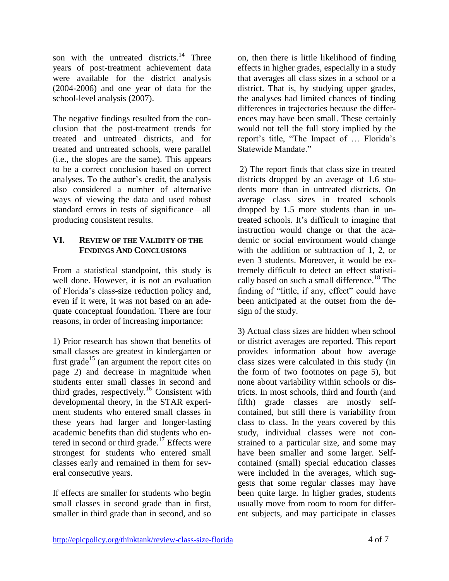son with the untreated districts.<sup>14</sup> Three years of post-treatment achievement data were available for the district analysis (2004-2006) and one year of data for the school-level analysis (2007).

The negative findings resulted from the conclusion that the post-treatment trends for treated and untreated districts, and for treated and untreated schools, were parallel (i.e., the slopes are the same). This appears to be a correct conclusion based on correct analyses. To the author's credit, the analysis also considered a number of alternative ways of viewing the data and used robust standard errors in tests of significance—all producing consistent results.

#### **VI. REVIEW OF THE VALIDITY OF THE FINDINGS AND CONCLUSIONS**

From a statistical standpoint, this study is well done. However, it is not an evaluation of Florida's class-size reduction policy and, even if it were, it was not based on an adequate conceptual foundation. There are four reasons, in order of increasing importance:

1) Prior research has shown that benefits of small classes are greatest in kindergarten or first grade<sup>15</sup> (an argument the report cites on page 2) and decrease in magnitude when students enter small classes in second and third grades, respectively.<sup>16</sup> Consistent with developmental theory, in the STAR experiment students who entered small classes in these years had larger and longer-lasting academic benefits than did students who entered in second or third grade.<sup>17</sup> Effects were strongest for students who entered small classes early and remained in them for several consecutive years.

If effects are smaller for students who begin small classes in second grade than in first, smaller in third grade than in second, and so on, then there is little likelihood of finding effects in higher grades, especially in a study that averages all class sizes in a school or a district. That is, by studying upper grades, the analyses had limited chances of finding differences in trajectories because the differences may have been small. These certainly would not tell the full story implied by the report's title, "The Impact of … Florida's Statewide Mandate."

2) The report finds that class size in treated districts dropped by an average of 1.6 students more than in untreated districts. On average class sizes in treated schools dropped by 1.5 more students than in untreated schools. It's difficult to imagine that instruction would change or that the academic or social environment would change with the addition or subtraction of 1, 2, or even 3 students. Moreover, it would be extremely difficult to detect an effect statistically based on such a small difference.<sup>18</sup> The finding of "little, if any, effect" could have been anticipated at the outset from the design of the study.

3) Actual class sizes are hidden when school or district averages are reported. This report provides information about how average class sizes were calculated in this study (in the form of two footnotes on page 5), but none about variability within schools or districts. In most schools, third and fourth (and fifth) grade classes are mostly selfcontained, but still there is variability from class to class. In the years covered by this study, individual classes were not constrained to a particular size, and some may have been smaller and some larger. Selfcontained (small) special education classes were included in the averages, which suggests that some regular classes may have been quite large. In higher grades, students usually move from room to room for different subjects, and may participate in classes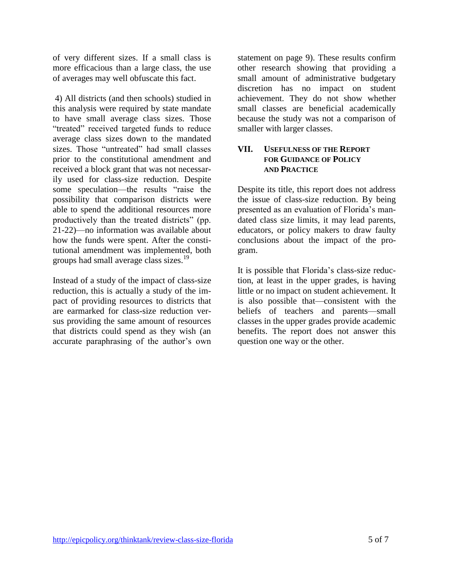of very different sizes. If a small class is more efficacious than a large class, the use of averages may well obfuscate this fact.

4) All districts (and then schools) studied in this analysis were required by state mandate to have small average class sizes. Those "treated" received targeted funds to reduce average class sizes down to the mandated sizes. Those "untreated" had small classes prior to the constitutional amendment and received a block grant that was not necessarily used for class-size reduction. Despite some speculation—the results "raise the possibility that comparison districts were able to spend the additional resources more productively than the treated districts" (pp. 21-22)—no information was available about how the funds were spent. After the constitutional amendment was implemented, both groups had small average class sizes.<sup>19</sup>

Instead of a study of the impact of class-size reduction, this is actually a study of the impact of providing resources to districts that are earmarked for class-size reduction versus providing the same amount of resources that districts could spend as they wish (an accurate paraphrasing of the author's own

statement on page 9). These results confirm other research showing that providing a small amount of administrative budgetary discretion has no impact on student achievement. They do not show whether small classes are beneficial academically because the study was not a comparison of smaller with larger classes.

#### **VII. USEFULNESS OF THE REPORT FOR GUIDANCE OF POLICY AND PRACTICE**

Despite its title, this report does not address the issue of class-size reduction. By being presented as an evaluation of Florida's mandated class size limits, it may lead parents, educators, or policy makers to draw faulty conclusions about the impact of the program.

It is possible that Florida's class-size reduction, at least in the upper grades, is having little or no impact on student achievement. It is also possible that—consistent with the beliefs of teachers and parents—small classes in the upper grades provide academic benefits. The report does not answer this question one way or the other.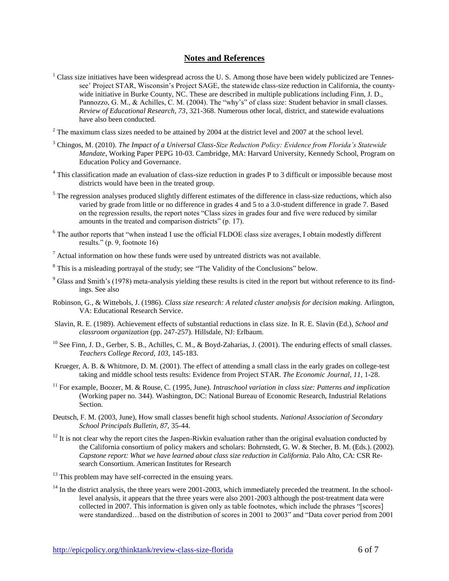#### **Notes and References**

- $<sup>1</sup>$  Class size initiatives have been widespread across the U.S. Among those have been widely publicized are Tennes-</sup> see' Project STAR, Wisconsin's Project SAGE, the statewide class-size reduction in California, the countywide initiative in Burke County, NC. These are described in multiple publications including Finn, J. D., Pannozzo, G. M., & Achilles, C. M. (2004). The "why's" of class size: Student behavior in small classes. *Review of Educational Research, 73*, 321-368. Numerous other local, district, and statewide evaluations have also been conducted.
- $2$  The maximum class sizes needed to be attained by 2004 at the district level and 2007 at the school level.
- <sup>3</sup> Chingos, M. (2010). *The Impact of a Universal Class-Size Reduction Policy: Evidence from Florida's Statewide Mandate*, Working Paper PEPG 10-03. Cambridge, MA: Harvard University, Kennedy School, Program on Education Policy and Governance.
- <sup>4</sup> This classification made an evaluation of class-size reduction in grades P to 3 difficult or impossible because most districts would have been in the treated group.
- <sup>5</sup> The regression analyses produced slightly different estimates of the difference in class-size reductions, which also varied by grade from little or no difference in grades 4 and 5 to a 3.0-student difference in grade 7. Based on the regression results, the report notes "Class sizes in grades four and five were reduced by similar amounts in the treated and comparison districts" (p. 17).
- <sup>6</sup> The author reports that "when instead I use the official FLDOE class size averages, I obtain modestly different results." (p. 9, footnote 16)
- $\frac{7}{1}$  Actual information on how these funds were used by untreated districts was not available.
- <sup>8</sup> This is a misleading portrayal of the study; see "The Validity of the Conclusions" below.
- $9$  Glass and Smith's (1978) meta-analysis yielding these results is cited in the report but without reference to its findings. See also
- Robinson, G., & Wittebols, J. (1986). *Class size research: A related cluster analysis for decision making.* Arlington, VA: Educational Research Service.
- Slavin, R. E. (1989). Achievement effects of substantial reductions in class size. In R. E. Slavin (Ed.), *School and classroom organization* (pp. 247-257). Hillsdale, NJ: Erlbaum.
- $^{10}$  See Finn, J. D., Gerber, S. B., Achilles, C. M., & Boyd-Zaharias, J. (2001). The enduring effects of small classes. *Teachers College Record, 103,* 145-183.
- Krueger, A. B. & Whitmore, D. M. (2001). The effect of attending a small class in the early grades on college-test taking and middle school tests results: Evidence from Project STAR. *The Economic Journal, 11,* 1-28.
- <sup>11</sup> For example, Boozer, M. & Rouse, C. (1995, June). *Intraschool variation in class size: Patterns and implication* (Working paper no. 344). Washington, DC: National Bureau of Economic Research, Industrial Relations Section.
- Deutsch, F. M. (2003, June), How small classes benefit high school students. *National Association of Secondary School Principals Bulletin, 87,* 35-44.
- $12$  It is not clear why the report cites the Jaspen-Rivkin evaluation rather than the original evaluation conducted by the California consortium of policy makers and scholars: Bohrnstedt, G. W. & Stecher, B. M. (Eds.). (2002). *Capstone report: What we have learned about class size reduction in California*. Palo Alto, CA: CSR Research Consortium. American Institutes for Research

 $14$  In the district analysis, the three years were 2001-2003, which immediately preceded the treatment. In the schoollevel analysis, it appears that the three years were also 2001-2003 although the post-treatment data were collected in 2007. This information is given only as table footnotes, which include the phrases "[scores] were standardized…based on the distribution of scores in 2001 to 2003" and "Data cover period from 2001

 $13$  This problem may have self-corrected in the ensuing years.